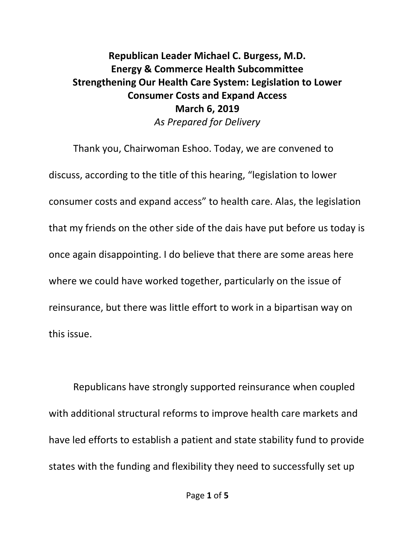## **Republican Leader Michael C. Burgess, M.D. Energy & Commerce Health Subcommittee Strengthening Our Health Care System: Legislation to Lower Consumer Costs and Expand Access March 6, 2019** *As Prepared for Delivery*

Thank you, Chairwoman Eshoo. Today, we are convened to discuss, according to the title of this hearing, "legislation to lower consumer costs and expand access" to health care. Alas, the legislation that my friends on the other side of the dais have put before us today is once again disappointing. I do believe that there are some areas here where we could have worked together, particularly on the issue of reinsurance, but there was little effort to work in a bipartisan way on this issue.

Republicans have strongly supported reinsurance when coupled with additional structural reforms to improve health care markets and have led efforts to establish a patient and state stability fund to provide states with the funding and flexibility they need to successfully set up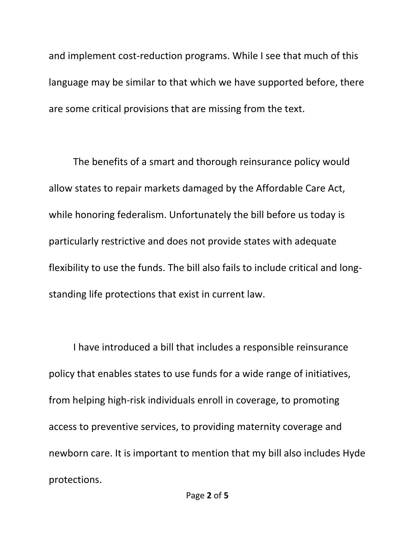and implement cost-reduction programs. While I see that much of this language may be similar to that which we have supported before, there are some critical provisions that are missing from the text.

The benefits of a smart and thorough reinsurance policy would allow states to repair markets damaged by the Affordable Care Act, while honoring federalism. Unfortunately the bill before us today is particularly restrictive and does not provide states with adequate flexibility to use the funds. The bill also fails to include critical and longstanding life protections that exist in current law.

I have introduced a bill that includes a responsible reinsurance policy that enables states to use funds for a wide range of initiatives, from helping high-risk individuals enroll in coverage, to promoting access to preventive services, to providing maternity coverage and newborn care. It is important to mention that my bill also includes Hyde protections.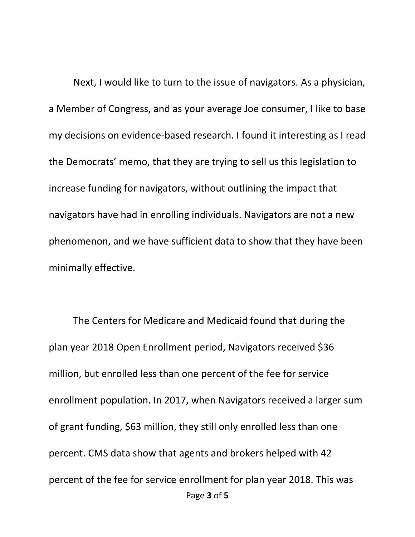Next, I would like to turn to the issue of navigators. As a physician, a Member of Congress, and as your average Joe consumer, I like to base my decisions on evidence-based research. I found it interesting as I read the Democrats' memo, that they are trying to sell us this legislation to increase funding for navigators, without outlining the impact that navigators have had in enrolling individuals. Navigators are not a new phenomenon, and we have sufficient data to show that they have been minimally effective.

Page **3** of **5** The Centers for Medicare and Medicaid found that during the plan year 2018 Open Enrollment period, Navigators received \$36 million, but enrolled less than one percent of the fee for service enrollment population. In 2017, when Navigators received a larger sum of grant funding, \$63 million, they still only enrolled less than one percent. CMS data show that agents and brokers helped with 42 percent of the fee for service enrollment for plan year 2018. This was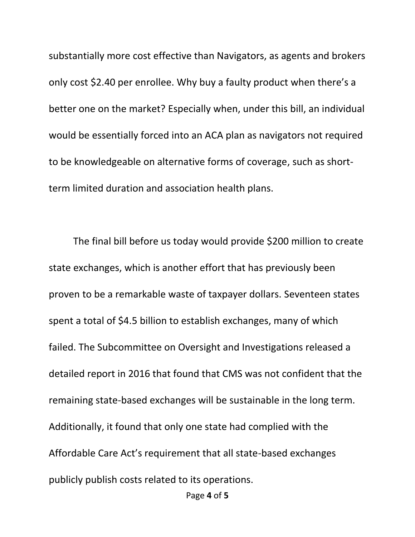substantially more cost effective than Navigators, as agents and brokers only cost \$2.40 per enrollee. Why buy a faulty product when there's a better one on the market? Especially when, under this bill, an individual would be essentially forced into an ACA plan as navigators not required to be knowledgeable on alternative forms of coverage, such as shortterm limited duration and association health plans.

The final bill before us today would provide \$200 million to create state exchanges, which is another effort that has previously been proven to be a remarkable waste of taxpayer dollars. Seventeen states spent a total of \$4.5 billion to establish exchanges, many of which failed. The Subcommittee on Oversight and Investigations released a detailed report in 2016 that found that CMS was not confident that the remaining state-based exchanges will be sustainable in the long term. Additionally, it found that only one state had complied with the Affordable Care Act's requirement that all state-based exchanges publicly publish costs related to its operations.